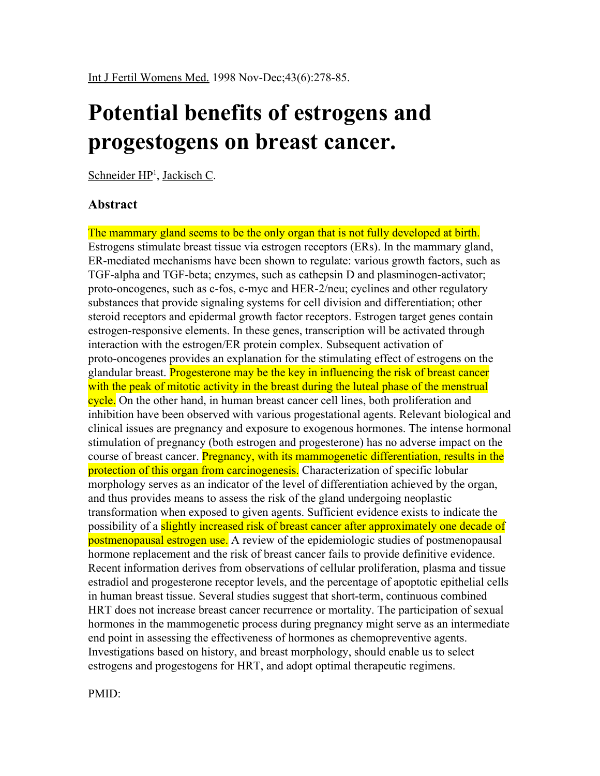## **Potential benefits of estrogens and progestogens on breast cancer.**

Schneider HP<sup>1</sup>, Jackisch C.

## **Abstract**

The mammary gland seems to be the only organ that is not fully developed at birth. Estrogens stimulate breast tissue via estrogen receptors (ERs). In the mammary gland, ER-mediated mechanisms have been shown to regulate: various growth factors, such as TGF-alpha and TGF-beta; enzymes, such as cathepsin D and plasminogen-activator; proto-oncogenes, such as c-fos, c-myc and HER-2/neu; cyclines and other regulatory substances that provide signaling systems for cell division and differentiation; other steroid receptors and epidermal growth factor receptors. Estrogen target genes contain estrogen-responsive elements. In these genes, transcription will be activated through interaction with the estrogen/ER protein complex. Subsequent activation of proto-oncogenes provides an explanation for the stimulating effect of estrogens on the glandular breast. Progesterone may be the key in influencing the risk of breast cancer with the peak of mitotic activity in the breast during the luteal phase of the menstrual cycle. On the other hand, in human breast cancer cell lines, both proliferation and inhibition have been observed with various progestational agents. Relevant biological and clinical issues are pregnancy and exposure to exogenous hormones. The intense hormonal stimulation of pregnancy (both estrogen and progesterone) has no adverse impact on the course of breast cancer. **Pregnancy, with its mammogenetic differentiation, results in the** protection of this organ from carcinogenesis. Characterization of specific lobular morphology serves as an indicator of the level of differentiation achieved by the organ, and thus provides means to assess the risk of the gland undergoing neoplastic transformation when exposed to given agents. Sufficient evidence exists to indicate the possibility of a **slightly increased risk of breast cancer after approximately one decade of** postmenopausal estrogen use. A review of the epidemiologic studies of postmenopausal hormone replacement and the risk of breast cancer fails to provide definitive evidence. Recent information derives from observations of cellular proliferation, plasma and tissue estradiol and progesterone receptor levels, and the percentage of apoptotic epithelial cells in human breast tissue. Several studies suggest that short-term, continuous combined HRT does not increase breast cancer recurrence or mortality. The participation of sexual hormones in the mammogenetic process during pregnancy might serve as an intermediate end point in assessing the effectiveness of hormones as chemopreventive agents. Investigations based on history, and breast morphology, should enable us to select estrogens and progestogens for HRT, and adopt optimal therapeutic regimens.

PMID: